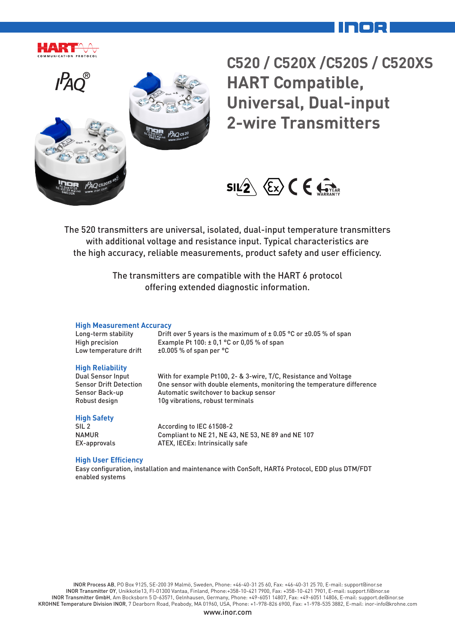



**C520 / C520X /C520S / C520XS HART Compatible, Universal, Dual-input 2-wire Transmitters**



The 520 transmitters are universal, isolated, dual-input temperature transmitters with additional voltage and resistance input. Typical characteristics are the high accuracy, reliable measurements, product safety and user efficiency.

> The transmitters are compatible with the HART 6 protocol offering extended diagnostic information.

#### **High Measurement Accuracy**

| Long-term stability   | Drift over 5 years is the maximum of $\pm$ 0.05 °C or $\pm$ 0.05 % of span |
|-----------------------|----------------------------------------------------------------------------|
| High precision        | Example Pt $100: \pm 0.1$ °C or 0.05 % of span                             |
| Low temperature drift | $\pm 0.005$ % of span per °C                                               |

#### **High Reliability**

Dual Sensor Input With for example Pt100, 2- & 3-wire, T/C, Resistance and Voltage Sensor Drift Detection One sensor with double elements, monitoring the temperature difference Sensor Back-up **Automatic switchover to backup sensor** Robust design 10g vibrations, robust terminals

#### **High Safety**

SIL 2 According to IEC 61508-2 NAMUR Compliant to NE 21, NE 43, NE 53, NE 89 and NE 107 EX-approvals ATEX, IECEx: Intrinsically safe

#### **High User Efficiency**

Easy configuration, installation and maintenance with ConSoft, HART6 Protocol, EDD plus DTM/FDT enabled systems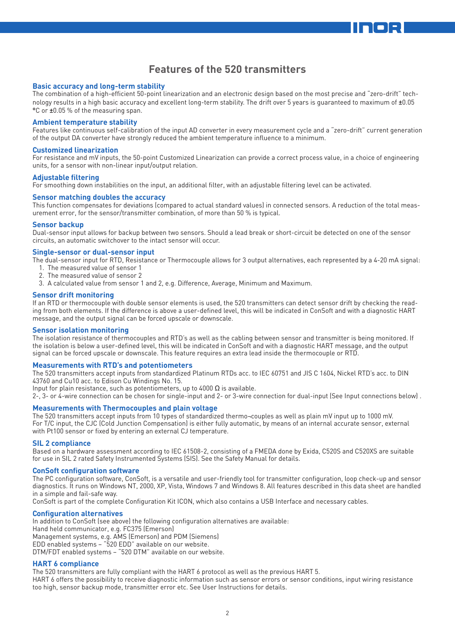### **Features of the 520 transmitters**

#### **Basic accuracy and long-term stability**

The combination of a high-efficient 50-point linearization and an electronic design based on the most precise and "zero-drift" technology results in a high basic accuracy and excellent long-term stability. The drift over 5 years is guaranteed to maximum of ±0.05 °C or ±0.05 % of the measuring span.

#### **Ambient temperature stability**

Features like continuous self-calibration of the input AD converter in every measurement cycle and a "zero-drift" current generation of the output DA converter have strongly reduced the ambient temperature influence to a minimum.

#### **Customized linearization**

For resistance and mV inputs, the 50-point Customized Linearization can provide a correct process value, in a choice of engineering units, for a sensor with non-linear input/output relation.

#### **Adjustable filtering**

For smoothing down instabilities on the input, an additional filter, with an adjustable filtering level can be activated.

#### **Sensor matching doubles the accuracy**

This function compensates for deviations (compared to actual standard values) in connected sensors. A reduction of the total measurement error, for the sensor/transmitter combination, of more than 50 % is typical.

#### **Sensor backup**

Dual-sensor input allows for backup between two sensors. Should a lead break or short-circuit be detected on one of the sensor circuits, an automatic switchover to the intact sensor will occur.

#### **Single-sensor or dual-sensor input**

The dual-sensor input for RTD, Resistance or Thermocouple allows for 3 output alternatives, each represented by a 4-20 mA signal:

- 1. The measured value of sensor 1
- 2. The measured value of sensor 2
- 3. A calculated value from sensor 1 and 2, e.g. Difference, Average, Minimum and Maximum.

#### **Sensor drift monitoring**

If an RTD or thermocouple with double sensor elements is used, the 520 transmitters can detect sensor drift by checking the reading from both elements. If the difference is above a user-defined level, this will be indicated in ConSoft and with a diagnostic HART message, and the output signal can be forced upscale or downscale.

#### **Sensor isolation monitoring**

The isolation resistance of thermocouples and RTD's as well as the cabling between sensor and transmitter is being monitored. If the isolation is below a user-defined level, this will be indicated in ConSoft and with a diagnostic HART message, and the output signal can be forced upscale or downscale. This feature requires an extra lead inside the thermocouple or RTD.

#### **Measurements with RTD's and potentiometers**

The 520 transmitters accept inputs from standardized Platinum RTDs acc. to IEC 60751 and JIS C 1604, Nickel RTD's acc. to DIN 43760 and Cu10 acc. to Edison Cu Windings No. 15.

Input for plain resistance, such as potentiometers, up to 4000  $\Omega$  is available.

2-, 3- or 4-wire connection can be chosen for single-input and 2- or 3-wire connection for dual-input (See Input connections below) .

#### **Measurements with Thermocouples and plain voltage**

The 520 transmitters accept inputs from 10 types of standardized thermo¬couples as well as plain mV input up to 1000 mV. For T/C input, the CJC (Cold Junction Compensation) is either fully automatic, by means of an internal accurate sensor, external with Pt100 sensor or fixed by entering an external CJ temperature.

#### **SIL 2 compliance**

Based on a hardware assessment according to IEC 61508-2, consisting of a FMEDA done by Exida, C520S and C520XS are suitable for use in SIL 2 rated Safety Instrumented Systems (SIS). See the Safety Manual for details.

#### **ConSoft configuration software**

The PC configuration software, ConSoft, is a versatile and user-friendly tool for transmitter configuration, loop check-up and sensor diagnostics. It runs on Windows NT, 2000, XP, Vista, Windows 7 and Windows 8. All features described in this data sheet are handled in a simple and fail-safe way.

ConSoft is part of the complete Configuration Kit ICON, which also contains a USB Interface and necessary cables.

#### **Configuration alternatives**

In addition to ConSoft (see above) the following configuration alternatives are available: Hand held communicator, e.g. FC375 (Emerson) Management systems, e.g. AMS (Emerson) and PDM (Siemens) EDD enabled systems – "520 EDD" available on our website. DTM/FDT enabled systems – "520 DTM" available on our website.

#### **HART 6 compliance**

The 520 transmitters are fully compliant with the HART 6 protocol as well as the previous HART 5.

HART 6 offers the possibility to receive diagnostic information such as sensor errors or sensor conditions, input wiring resistance too high, sensor backup mode, transmitter error etc. See User Instructions for details.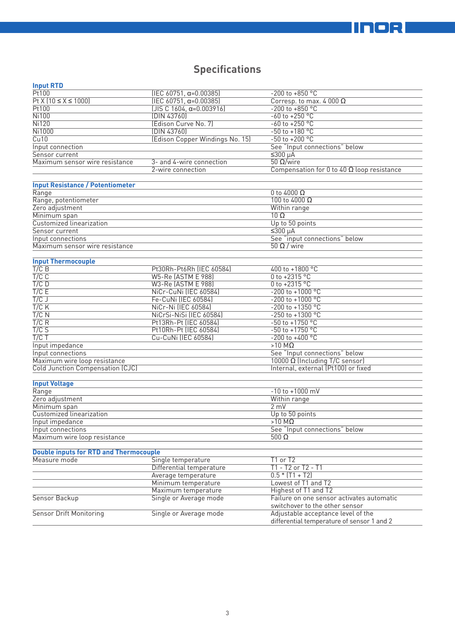# **IINOR**

# **Specifications**

|--|--|

| pav                                           |                                 |                                                                                  |  |
|-----------------------------------------------|---------------------------------|----------------------------------------------------------------------------------|--|
| Pt100                                         | $(IEC 60751, \alpha=0.00385)$   | $-200$ to $+850$ °C                                                              |  |
| $Pt X (10 \le X \le 1000)$                    | $(IEC 60751, \alpha=0.00385)$   | Corresp. to max. 4 000 $\Omega$                                                  |  |
| Pt100                                         | $[JIS C 1604, \alpha=0.003916]$ | $-200$ to $+850$ °C                                                              |  |
| <b>Ni100</b>                                  | (DIN 43760)                     | $-60$ to $+250$ °C                                                               |  |
| <b>Ni120</b>                                  | (Edison Curve No. 7)            | $-60$ to $+250$ °C                                                               |  |
| Ni1000                                        | (DIN 43760)                     | $-50$ to $+180$ °C                                                               |  |
| Cu10                                          | (Edison Copper Windings No. 15) | $-50$ to $+200$ °C                                                               |  |
| Input connection                              |                                 | See "Input connections" below                                                    |  |
| Sensor current                                |                                 | $5300 \mu A$                                                                     |  |
| Maximum sensor wire resistance                | 3- and 4-wire connection        | $50$ Ω/wire                                                                      |  |
|                                               | 2-wire connection               | Compensation for 0 to 40 $\Omega$ loop resistance                                |  |
|                                               |                                 |                                                                                  |  |
| <b>Input Resistance / Potentiometer</b>       |                                 |                                                                                  |  |
| Range                                         |                                 | 0 to 4000 $\Omega$                                                               |  |
| Range, potentiometer                          |                                 | 100 to 4000 $\Omega$                                                             |  |
| Zero adjustment                               |                                 | Within range                                                                     |  |
| Minimum span                                  |                                 | $10 \Omega$                                                                      |  |
| Customized linearization                      |                                 |                                                                                  |  |
| Sensor current                                |                                 | Up to 50 points                                                                  |  |
|                                               |                                 | $≤300 \mu A$                                                                     |  |
| Input connections                             |                                 | See "input connections" below                                                    |  |
| Maximum sensor wire resistance                |                                 | $50 \Omega /$ wire                                                               |  |
|                                               |                                 |                                                                                  |  |
| <b>Input Thermocouple</b>                     |                                 |                                                                                  |  |
| $T/C$ B                                       | Pt30Rh-Pt6Rh (IEC 60584)        | 400 to +1800 °C                                                                  |  |
| $T/C$ $C$                                     | <b>W5-Re (ASTM E 988)</b>       | 0 to +2315 °C                                                                    |  |
| $T/C$ D                                       | W3-Re (ASTM E 988)              | $0$ to +2315 °C                                                                  |  |
| T/CE                                          | NiCr-CuNi (IEC 60584)           | $-200$ to $+1000$ °C                                                             |  |
| T/CJ                                          | Fe-CuNi (IEC 60584)             | -200 to +1000 °C                                                                 |  |
| $T/C$ K                                       | NiCr-Ni (IEC 60584)             | $-200$ to $+1350$ °C                                                             |  |
| $T/C$ N                                       | NiCrSi-NiSi (IEC 60584)         | $-250$ to $+1300$ °C                                                             |  |
| T/C R                                         | Pt13Rh-Pt (IEC 60584)           | $-50$ to $+1750$ °C                                                              |  |
| T/CS                                          | Pt10Rh-Pt (IEC 60584)           | $-50$ to $+1750$ °C                                                              |  |
| T/CT                                          | Cu-CuNi (IEC 60584)             | $-200$ to $+400$ °C                                                              |  |
| Input impedance                               |                                 | $>10$ MQ                                                                         |  |
| Input connections                             |                                 | See "Input connections" below                                                    |  |
| Maximum wire loop resistance                  |                                 | $10000 \Omega$ (Including T/C sensor)                                            |  |
| Cold Junction Compensation (CJC)              |                                 | Internal, external (Pt100) or fixed                                              |  |
|                                               |                                 |                                                                                  |  |
| <b>Input Voltage</b>                          |                                 |                                                                                  |  |
| Range                                         |                                 | $-10$ to $+1000$ mV                                                              |  |
| Zero adjustment                               |                                 | Within range                                                                     |  |
| Minimum span                                  |                                 | 2 mV                                                                             |  |
| Customized linearization                      |                                 | Up to 50 points                                                                  |  |
| Input impedance                               |                                 | $>10$ M $\Omega$                                                                 |  |
| Input connections                             |                                 | See "Input connections" below                                                    |  |
| Maximum wire loop resistance                  |                                 | 500 $\Omega$                                                                     |  |
|                                               |                                 |                                                                                  |  |
| <b>Double inputs for RTD and Thermocouple</b> |                                 |                                                                                  |  |
| Measure mode                                  | Single temperature              | T1 or T2                                                                         |  |
|                                               | Differential temperature        | $T1 - T2$ or $T2 - T1$                                                           |  |
|                                               | Average temperature             | $0.5 * (T1 + T2)$                                                                |  |
|                                               | Minimum temperature             | Lowest of T1 and T2                                                              |  |
|                                               | Maximum temperature             | Highest of T1 and T2                                                             |  |
| Sensor Backup                                 | Single or Average mode          | Failure on one sensor activates automatic                                        |  |
|                                               |                                 | switchover to the other sensor                                                   |  |
| <b>Sensor Drift Monitoring</b>                | Single or Average mode          | Adjustable acceptance level of the<br>differential temperature of sensor 1 and 2 |  |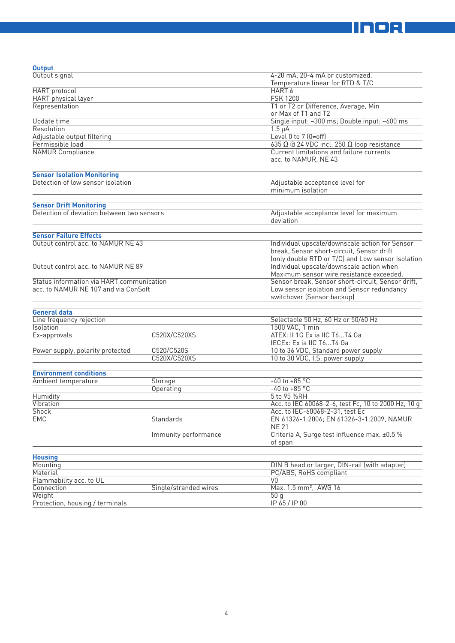

| <b>Output</b>                              |                      |                                                             |  |  |
|--------------------------------------------|----------------------|-------------------------------------------------------------|--|--|
| Output signal                              |                      | 4-20 mA, 20-4 mA or customized.                             |  |  |
|                                            |                      | Temperature linear for RTD & T/C                            |  |  |
| <b>HART</b> protocol                       |                      | HART <sub>6</sub>                                           |  |  |
| <b>HART</b> physical layer                 |                      | <b>FSK 1200</b>                                             |  |  |
| Representation                             |                      | T1 or T2 or Difference, Average, Min<br>or Max of T1 and T2 |  |  |
|                                            |                      |                                                             |  |  |
| Update time                                |                      | Single input: ~300 ms; Double input: ~600 ms<br>$1.5 \mu A$ |  |  |
| Resolution                                 |                      |                                                             |  |  |
| Adjustable output filtering                |                      | Level 0 to 7 (0=off)                                        |  |  |
| Permissible load                           |                      | 635 $\Omega$ @ 24 VDC incl. 250 $\Omega$ loop resistance    |  |  |
| <b>NAMUR Compliance</b>                    |                      | Current limitations and failure currents                    |  |  |
|                                            |                      | acc. to NAMUR, NE 43                                        |  |  |
|                                            |                      |                                                             |  |  |
| <b>Sensor Isolation Monitoring</b>         |                      |                                                             |  |  |
| Detection of low sensor isolation          |                      | Adjustable acceptance level for                             |  |  |
|                                            |                      | minimum isolation                                           |  |  |
| <b>Sensor Drift Monitoring</b>             |                      |                                                             |  |  |
| Detection of deviation between two sensors |                      | Adjustable acceptance level for maximum                     |  |  |
|                                            |                      | deviation                                                   |  |  |
|                                            |                      |                                                             |  |  |
| <b>Sensor Failure Effects</b>              |                      |                                                             |  |  |
| Output control acc. to NAMUR NE 43         |                      | Individual upscale/downscale action for Sensor              |  |  |
|                                            |                      | break, Sensor short-circuit, Sensor drift                   |  |  |
|                                            |                      | (only double RTD or T/C) and Low sensor isolation           |  |  |
| Output control acc. to NAMUR NE 89         |                      | Individual upscale/downscale action when                    |  |  |
|                                            |                      | Maximum sensor wire resistance exceeded.                    |  |  |
| Status information via HART communication  |                      | Sensor break, Sensor short-circuit, Sensor drift,           |  |  |
| acc. to NAMUR NE 107 and via ConSoft       |                      | Low sensor isolation and Sensor redundancy                  |  |  |
|                                            |                      | switchover (Sensor backup)                                  |  |  |
|                                            |                      |                                                             |  |  |
| <b>General data</b>                        |                      |                                                             |  |  |
| Line frequency rejection                   |                      | Selectable 50 Hz, 60 Hz or 50/60 Hz                         |  |  |
| <b>Isolation</b>                           |                      | 1500 VAC, 1 min                                             |  |  |
| Ex-approvals                               | C520X/C520XS         | ATEX: II 1G Ex ia IIC T6T4 Ga                               |  |  |
|                                            |                      | IECEx: Ex ia IIC T6T4 Ga                                    |  |  |
| Power supply, polarity protected           | C520/C520S           | 10 to 36 VDC, Standard power supply                         |  |  |
|                                            | C520X/C520XS         | 10 to 30 VDC, I.S. power supply                             |  |  |
| <b>Environment conditions</b>              |                      |                                                             |  |  |
| Ambient temperature                        | Storage              | $-40$ to $+85$ °C                                           |  |  |
|                                            | Operating            | $-40$ to $+85$ °C                                           |  |  |
| Humidity                                   |                      | 5 to 95 %RH                                                 |  |  |
| Vibration                                  |                      | Acc. to IEC 60068-2-6, test Fc, 10 to 2000 Hz, 10 g         |  |  |
| <b>Shock</b>                               |                      | Acc. to IEC-60068-2-31, test Ec                             |  |  |
| <b>EMC</b>                                 | Standards            | EN 61326-1:2006; EN 61326-3-1:2009, NAMUR                   |  |  |
|                                            |                      | <b>NE 21</b>                                                |  |  |
|                                            | Immunity performance | Criteria A, Surge test influence max. ±0.5 %                |  |  |
|                                            |                      | of span                                                     |  |  |
|                                            |                      |                                                             |  |  |
| <b>Housing</b>                             |                      |                                                             |  |  |
| Mounting                                   |                      | DIN B head or larger, DIN-rail (with adapter)               |  |  |
| Material                                   |                      | PC/ABS, RoHS compliant                                      |  |  |
| Flammability acc. to UL                    |                      | V0                                                          |  |  |
| Connection<br>Single/stranded wires        |                      | Max. 1.5 mm <sup>2</sup> , AWG 16                           |  |  |
| Weight                                     |                      | 50q                                                         |  |  |
| Protection, housing / terminals            |                      | IP 65 / IP 00                                               |  |  |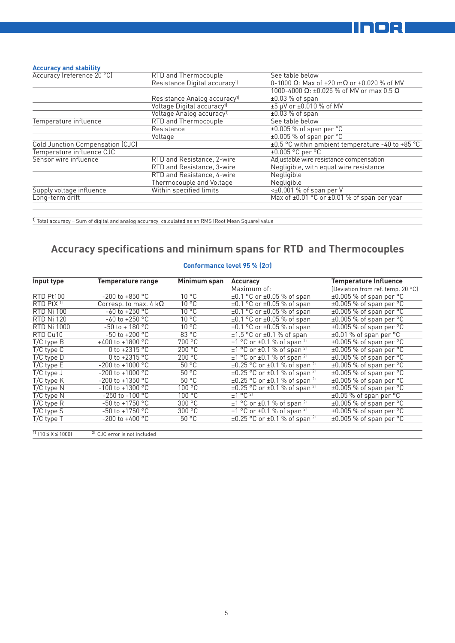

#### **Accuracy and stability**

| Accuracy (reference 20 °C)       | RTD and Thermocouple                      | See table below                                       |  |
|----------------------------------|-------------------------------------------|-------------------------------------------------------|--|
|                                  | Resistance Digital accuracy <sup>1)</sup> | 0-1000 Ω: Max of $\pm 20$ mΩ or $\pm 0.020$ % of MV   |  |
|                                  |                                           | 1000-4000 Ω: ±0.025 % of MV or max 0.5 Ω              |  |
|                                  | Resistance Analog accuracy <sup>1)</sup>  | $\pm 0.03$ % of span                                  |  |
|                                  | Voltage Digital accuracy <sup>1)</sup>    | ±5 µV or ±0.010 % of MV                               |  |
|                                  | Voltage Analog accuracy <sup>1)</sup>     | $\pm 0.03$ % of span                                  |  |
| Temperature influence            | RTD and Thermocouple                      | See table below                                       |  |
|                                  | Resistance                                | $\pm 0.005$ % of span per °C                          |  |
|                                  | Voltage                                   | $\pm 0.005$ % of span per $^{\circ}$ C                |  |
| Cold Junction Compensation (CJC) |                                           | $\pm 0.5$ °C within ambient temperature -40 to +85 °C |  |
| Temperature influence CJC        |                                           | $±0.005$ °C per °C                                    |  |
| Sensor wire influence            | RTD and Resistance, 2-wire                | Adjustable wire resistance compensation               |  |
|                                  | RTD and Resistance, 3-wire                | Negligible, with equal wire resistance                |  |
|                                  | RTD and Resistance, 4-wire                | Negligible                                            |  |
|                                  | Thermocouple and Voltage                  | Negligible                                            |  |
| Supply voltage influence         | Within specified limits                   | $\overline{50.001\%}$ of span per V                   |  |
| Long-term drift                  |                                           | Max of $\pm 0.01$ °C or $\pm 0.01$ % of span per year |  |
|                                  |                                           |                                                       |  |

 $\frac{1}{10}$  Total accuracy = Sum of digital and analog accuracy, calculated as an RMS (Root Mean Square) value

# **Accuracy specifications and minimum spans for RTD and Thermocouples**

#### **Conformance level 95 % (2**σ**)**

| Input type            | <b>Temperature range</b>     | Minimum span   | <b>Accuracy</b>                                    | <b>Temperature Influence</b>          |
|-----------------------|------------------------------|----------------|----------------------------------------------------|---------------------------------------|
|                       |                              |                | Maximum of:                                        | (Deviation from ref. temp. 20 °C)     |
| RTD Pt100             | $-200$ to $+850$ °C          | $10^{\circ}$ C | $\pm 0.1$ °C or $\pm 0.05$ % of span               | $\pm 0.005$ % of span per °C          |
| RTD PtX <sup>11</sup> | Corresp. to max. 4 $k\Omega$ | $10^{\circ}$ C | $\pm 0.1$ °C or $\pm 0.05$ % of span               | $±0.005$ % of span per °C             |
| <b>RTD Ni 100</b>     | $-60$ to $+250$ °C           | $10^{\circ}$ C | $\pm 0.1$ °C or $\pm 0.05$ % of span               | $\pm 0.005$ % of span per $\degree$ C |
| <b>RTD Ni 120</b>     | $-60$ to $+250$ °C           | $10^{\circ}$ C | $\pm 0.1$ °C or $\pm 0.05$ % of span               | $\pm 0.005$ % of span per $\degree$ C |
| <b>RTD Ni 1000</b>    | $-50$ to $+180$ °C           | $10^{\circ}$ C | $\pm 0.1$ °C or $\pm 0.05$ % of span               | $±0.005$ % of span per °C             |
| RTD Cu10              | $-50$ to $+200$ °C           | 83 °C          | $\pm 1.5$ °C or $\pm 0.1$ % of span                | $\pm 0.01$ % of span per °C           |
| $T/C$ type $B$        | +400 to +1800 $^{\circ}$ C   | 700 °C         | $\pm$ 1 °C or $\pm$ 0.1 % of span <sup>2)</sup>    | $±0.005$ % of span per °C             |
| $T/C$ type $C$        | 0 to $+2315$ °C              | 200 °C         | $\pm$ 1 °C or $\pm$ 0.1 % of span <sup>2)</sup>    | $±0.005$ % of span per $°C$           |
| $T/C$ type $D$        | 0 to $+2315$ °C              | 200 °C         | $\pm 1$ °C or $\pm 0.1$ % of span <sup>2)</sup>    | $±0.005$ % of span per °C             |
| $T/C$ type $E$        | $-200$ to $+1000$ °C         | 50 °C          | $\pm 0.25$ °C or $\pm 0.1$ % of span <sup>2)</sup> | $\pm 0.005$ % of span per $\degree$ C |
| $T/C$ type $J$        | $-200$ to $+1000$ °C         | 50 °C          | $\pm 0.25$ °C or $\pm 0.1$ % of span <sup>2)</sup> | $\pm 0.005$ % of span per $\degree$ C |
| $T/C$ type $K$        | $-200$ to $+1350$ °C         | 50 °C          | $\pm 0.25$ °C or $\pm 0.1$ % of span <sup>2)</sup> | $\pm 0.005$ % of span per $\degree$ C |
| $T/C$ type $N$        | $-100$ to $+1300$ °C         | 100 °C         | $\pm 0.25$ °C or $\pm 0.1$ % of span <sup>2)</sup> | $\pm 0.005$ % of span per $\degree$ C |
| $T/C$ type $N$        | $-250$ to $-100$ °C          | 100 °C         | $\pm$ 1 °C <sup>2]</sup>                           | $\pm 0.05$ % of span per $\degree$ C  |
| $T/C$ type $R$        | $-50$ to $+1750$ °C          | 300 °C         | $\pm$ 1 °C or $\pm$ 0.1 % of span <sup>2)</sup>    | $±0.005$ % of span per °C             |
| $T/C$ type S          | $-50$ to $+1750$ °C          | 300 °C         | $\pm 1$ °C or $\pm 0.1$ % of span <sup>2)</sup>    | $\pm 0.005$ % of span per $\degree$ C |
| $T/C$ type $T$        | $-200$ to $+400$ °C          | 50 °C          | $\pm 0.25$ °C or $\pm 0.1$ % of span <sup>2)</sup> | $\pm 0.005$ % of span per $\degree$ C |
|                       |                              |                |                                                    |                                       |

1)  $(10 \le X \le 1000)$  2) CJC error is not included